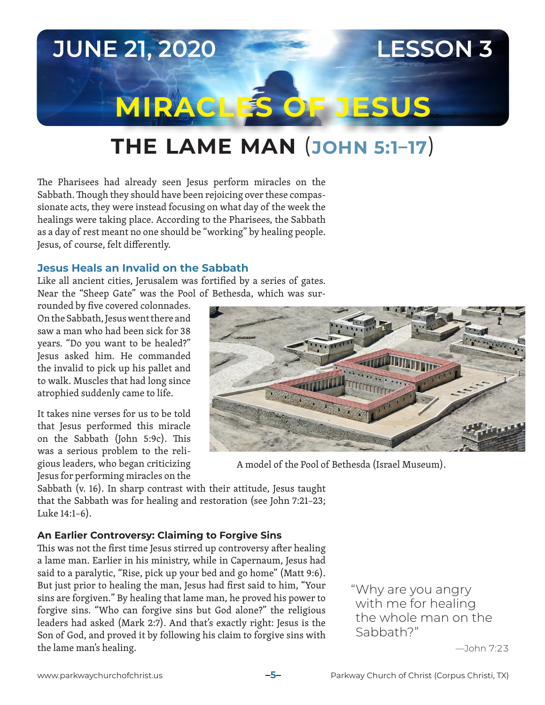# **JUNE 21, 2020 LESSON 3 MIRACLES OF JESUS**

## **THE LAME MAN** (**JOHN 5:1–17**)

The Pharisees had already seen Jesus perform miracles on the Sabbath. Though they should have been rejoicing over these compassionate acts, they were instead focusing on what day of the week the healings were taking place. According to the Pharisees, the Sabbath as a day of rest meant no one should be "working" by healing people. Jesus, of course, felt differently.

#### **Jesus Heals an Invalid on the Sabbath**

Like all ancient cities, Jerusalem was fortified by a series of gates. Near the "Sheep Gate" was the Pool of Bethesda, which was sur-

rounded by five covered colonnades. On the Sabbath, Jesus went there and saw a man who had been sick for 38 years. "Do you want to be healed?" Jesus asked him. He commanded the invalid to pick up his pallet and to walk. Muscles that had long since atrophied suddenly came to life.

It takes nine verses for us to be told that Jesus performed this miracle on the Sabbath (John 5:9c). This was a serious problem to the religious leaders, who began criticizing Jesus for performing miracles on the



A model of the Pool of Bethesda (Israel Museum).

Sabbath (v. 16). In sharp contrast with their attitude, Jesus taught that the Sabbath was for healing and restoration (see John 7:21–23; Luke 14:1–6).

#### **An Earlier Controversy: Claiming to Forgive Sins**

This was not the first time Jesus stirred up controversy after healing a lame man. Earlier in his ministry, while in Capernaum, Jesus had said to a paralytic, "Rise, pick up your bed and go home" (Matt 9:6). But just prior to healing the man, Jesus had first said to him, "Your sins are forgiven." By healing that lame man, he proved his power to forgive sins. "Who can forgive sins but God alone?" the religious leaders had asked (Mark 2:7). And that's exactly right: Jesus is the Son of God, and proved it by following his claim to forgive sins with the lame man's healing.

"Why are you angry with me for healing the whole man on the Sabbath?"

—John 7:23